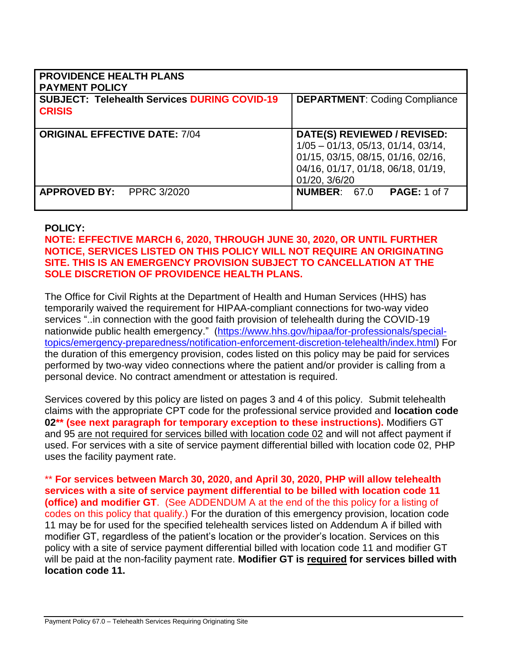| <b>PROVIDENCE HEALTH PLANS</b><br><b>PAYMENT POLICY</b>              |                                                                                                                                                                   |
|----------------------------------------------------------------------|-------------------------------------------------------------------------------------------------------------------------------------------------------------------|
| <b>SUBJECT: Telehealth Services DURING COVID-19</b><br><b>CRISIS</b> | <b>DEPARTMENT: Coding Compliance</b>                                                                                                                              |
| <b>ORIGINAL EFFECTIVE DATE: 7/04</b>                                 | DATE(S) REVIEWED / REVISED:<br>$1/05 - 01/13$ , 05/13, 01/14, 03/14,<br>01/15, 03/15, 08/15, 01/16, 02/16,<br>04/16, 01/17, 01/18, 06/18, 01/19.<br>01/20, 3/6/20 |
| PPRC 3/2020<br><b>APPROVED BY:</b>                                   | <b>NUMBER: 67.0</b><br><b>PAGE: 1 of 7</b>                                                                                                                        |

### **POLICY:**

## **NOTE: EFFECTIVE MARCH 6, 2020, THROUGH JUNE 30, 2020, OR UNTIL FURTHER NOTICE, SERVICES LISTED ON THIS POLICY WILL NOT REQUIRE AN ORIGINATING SITE. THIS IS AN EMERGENCY PROVISION SUBJECT TO CANCELLATION AT THE SOLE DISCRETION OF PROVIDENCE HEALTH PLANS.**

The Office for Civil Rights at the Department of Health and Human Services (HHS) has temporarily waived the requirement for HIPAA-compliant connections for two-way video services "..in connection with the good faith provision of telehealth during the COVID-19 nationwide public health emergency." [\(https://www.hhs.gov/hipaa/for-professionals/special](https://www.hhs.gov/hipaa/for-professionals/special-topics/emergency-preparedness/notification-enforcement-discretion-telehealth/index.html)[topics/emergency-preparedness/notification-enforcement-discretion-telehealth/index.html\)](https://www.hhs.gov/hipaa/for-professionals/special-topics/emergency-preparedness/notification-enforcement-discretion-telehealth/index.html) For the duration of this emergency provision, codes listed on this policy may be paid for services performed by two-way video connections where the patient and/or provider is calling from a personal device. No contract amendment or attestation is required.

Services covered by this policy are listed on pages 3 and 4 of this policy. Submit telehealth claims with the appropriate CPT code for the professional service provided and **location code 02\*\* (see next paragraph for temporary exception to these instructions).** Modifiers GT and 95 are not required for services billed with location code 02 and will not affect payment if used. For services with a site of service payment differential billed with location code 02, PHP uses the facility payment rate.

\*\* **For services between March 30, 2020, and April 30, 2020, PHP will allow telehealth services with a site of service payment differential to be billed with location code 11 (office) and modifier GT**. (See ADDENDUM A at the end of the this policy for a listing of codes on this policy that qualify.) For the duration of this emergency provision, location code 11 may be for used for the specified telehealth services listed on Addendum A if billed with modifier GT, regardless of the patient's location or the provider's location. Services on this policy with a site of service payment differential billed with location code 11 and modifier GT will be paid at the non-facility payment rate. **Modifier GT is required for services billed with location code 11.**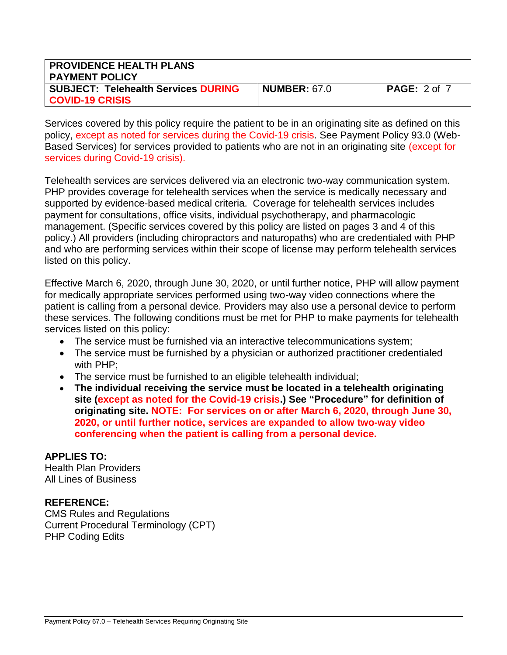| <b>PROVIDENCE HEALTH PLANS</b><br><b>PAYMENT POLICY</b>              |                     |                     |
|----------------------------------------------------------------------|---------------------|---------------------|
| <b>SUBJECT: Telehealth Services DURING</b><br><b>COVID-19 CRISIS</b> | <b>NUMBER: 67.0</b> | <b>PAGE: 2 of 7</b> |

Services covered by this policy require the patient to be in an originating site as defined on this policy, except as noted for services during the Covid-19 crisis. See Payment Policy 93.0 (Web-Based Services) for services provided to patients who are not in an originating site (except for services during Covid-19 crisis).

Telehealth services are services delivered via an electronic two-way communication system. PHP provides coverage for telehealth services when the service is medically necessary and supported by evidence-based medical criteria. Coverage for telehealth services includes payment for consultations, office visits, individual psychotherapy, and pharmacologic management. (Specific services covered by this policy are listed on pages 3 and 4 of this policy.) All providers (including chiropractors and naturopaths) who are credentialed with PHP and who are performing services within their scope of license may perform telehealth services listed on this policy.

Effective March 6, 2020, through June 30, 2020, or until further notice, PHP will allow payment for medically appropriate services performed using two-way video connections where the patient is calling from a personal device. Providers may also use a personal device to perform these services. The following conditions must be met for PHP to make payments for telehealth services listed on this policy:

- The service must be furnished via an interactive telecommunications system;
- The service must be furnished by a physician or authorized practitioner credentialed with PHP;
- The service must be furnished to an eligible telehealth individual;
- **The individual receiving the service must be located in a telehealth originating site (except as noted for the Covid-19 crisis.) See "Procedure" for definition of originating site. NOTE: For services on or after March 6, 2020, through June 30, 2020, or until further notice, services are expanded to allow two-way video conferencing when the patient is calling from a personal device.**

## **APPLIES TO:**

Health Plan Providers All Lines of Business

## **REFERENCE:**

CMS Rules and Regulations Current Procedural Terminology (CPT) PHP Coding Edits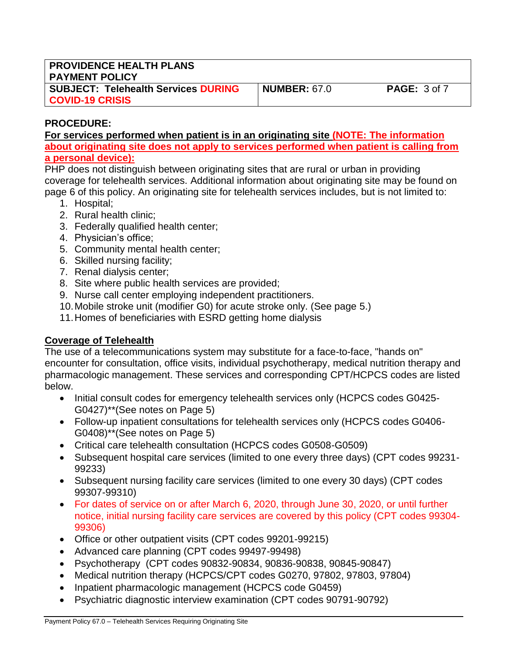| <b>PROVIDENCE HEALTH PLANS</b><br><b>PAYMENT POLICY</b>              |                     |                     |
|----------------------------------------------------------------------|---------------------|---------------------|
| <b>SUBJECT: Telehealth Services DURING</b><br><b>COVID-19 CRISIS</b> | <b>NUMBER: 67.0</b> | <b>PAGE:</b> 3 of 7 |

# **PROCEDURE:**

**For services performed when patient is in an originating site (NOTE: The information about originating site does not apply to services performed when patient is calling from a personal device):**

PHP does not distinguish between originating sites that are rural or urban in providing coverage for telehealth services. Additional information about originating site may be found on page 6 of this policy. An originating site for telehealth services includes, but is not limited to:

- 1. Hospital;
- 2. Rural health clinic;
- 3. Federally qualified health center;
- 4. Physician's office;
- 5. Community mental health center;
- 6. Skilled nursing facility;
- 7. Renal dialysis center;
- 8. Site where public health services are provided;
- 9. Nurse call center employing independent practitioners.
- 10.Mobile stroke unit (modifier G0) for acute stroke only. (See page 5.)
- 11.Homes of beneficiaries with ESRD getting home dialysis

# **Coverage of Telehealth**

The use of a telecommunications system may substitute for a face-to-face, "hands on" encounter for consultation, office visits, individual psychotherapy, medical nutrition therapy and pharmacologic management. These services and corresponding CPT/HCPCS codes are listed below.

- Initial consult codes for emergency telehealth services only (HCPCS codes G0425-G0427)\*\*(See notes on Page 5)
- Follow-up inpatient consultations for telehealth services only (HCPCS codes G0406- G0408)\*\*(See notes on Page 5)
- Critical care telehealth consultation (HCPCS codes G0508-G0509)
- Subsequent hospital care services (limited to one every three days) (CPT codes 99231- 99233)
- Subsequent nursing facility care services (limited to one every 30 days) (CPT codes 99307-99310)
- For dates of service on or after March 6, 2020, through June 30, 2020, or until further notice, initial nursing facility care services are covered by this policy (CPT codes 99304- 99306)
- Office or other outpatient visits (CPT codes 99201-99215)
- Advanced care planning (CPT codes 99497-99498)
- Psychotherapy (CPT codes 90832-90834, 90836-90838, 90845-90847)
- Medical nutrition therapy (HCPCS/CPT codes G0270, 97802, 97803, 97804)
- Inpatient pharmacologic management (HCPCS code G0459)
- Psychiatric diagnostic interview examination (CPT codes 90791-90792)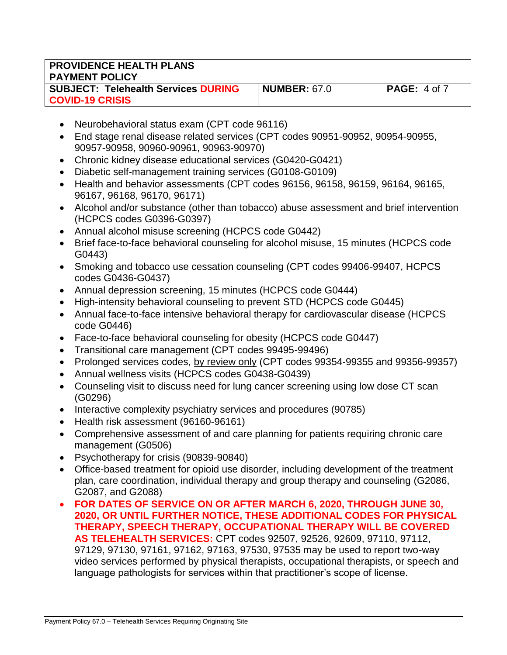| <b>PROVIDENCE HEALTH PLANS</b><br><b>PAYMENT POLICY</b>              |                     |                     |
|----------------------------------------------------------------------|---------------------|---------------------|
| <b>SUBJECT: Telehealth Services DURING</b><br><b>COVID-19 CRISIS</b> | <b>NUMBER: 67.0</b> | <b>PAGE: 4 of 7</b> |

- Neurobehavioral status exam (CPT code 96116)
- End stage renal disease related services (CPT codes 90951-90952, 90954-90955, 90957-90958, 90960-90961, 90963-90970)
- Chronic kidney disease educational services (G0420-G0421)
- Diabetic self-management training services (G0108-G0109)
- Health and behavior assessments (CPT codes 96156, 96158, 96159, 96164, 96165, 96167, 96168, 96170, 96171)
- Alcohol and/or substance (other than tobacco) abuse assessment and brief intervention (HCPCS codes G0396-G0397)
- Annual alcohol misuse screening (HCPCS code G0442)
- Brief face-to-face behavioral counseling for alcohol misuse, 15 minutes (HCPCS code G0443)
- Smoking and tobacco use cessation counseling (CPT codes 99406-99407, HCPCS codes G0436-G0437)
- Annual depression screening, 15 minutes (HCPCS code G0444)
- High-intensity behavioral counseling to prevent STD (HCPCS code G0445)
- Annual face-to-face intensive behavioral therapy for cardiovascular disease (HCPCS code G0446)
- Face-to-face behavioral counseling for obesity (HCPCS code G0447)
- Transitional care management (CPT codes 99495-99496)
- Prolonged services codes, by review only (CPT codes 99354-99355 and 99356-99357)
- Annual wellness visits (HCPCS codes G0438-G0439)
- Counseling visit to discuss need for lung cancer screening using low dose CT scan (G0296)
- Interactive complexity psychiatry services and procedures (90785)
- Health risk assessment (96160-96161)
- Comprehensive assessment of and care planning for patients requiring chronic care management (G0506)
- Psychotherapy for crisis (90839-90840)
- Office-based treatment for opioid use disorder, including development of the treatment plan, care coordination, individual therapy and group therapy and counseling (G2086, G2087, and G2088)
- **FOR DATES OF SERVICE ON OR AFTER MARCH 6, 2020, THROUGH JUNE 30, 2020, OR UNTIL FURTHER NOTICE, THESE ADDITIONAL CODES FOR PHYSICAL THERAPY, SPEECH THERAPY, OCCUPATIONAL THERAPY WILL BE COVERED AS TELEHEALTH SERVICES:** CPT codes 92507, 92526, 92609, 97110, 97112, 97129, 97130, 97161, 97162, 97163, 97530, 97535 may be used to report two-way video services performed by physical therapists, occupational therapists, or speech and language pathologists for services within that practitioner's scope of license.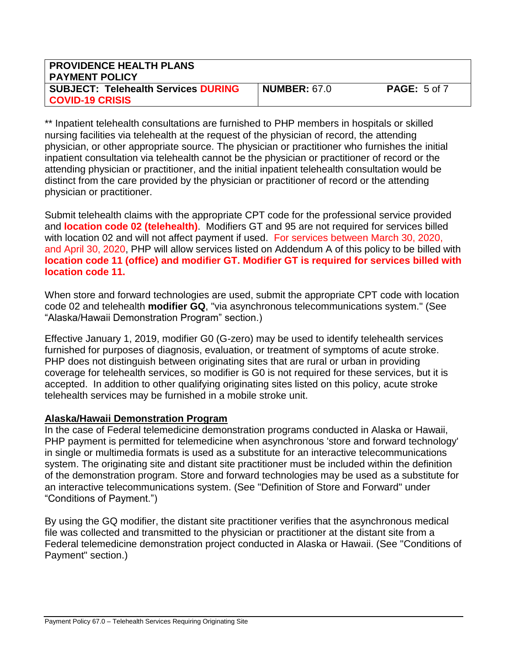| <b>PROVIDENCE HEALTH PLANS</b><br><b>PAYMENT POLICY</b>              |                     |                     |
|----------------------------------------------------------------------|---------------------|---------------------|
| <b>SUBJECT: Telehealth Services DURING</b><br><b>COVID-19 CRISIS</b> | <b>NUMBER: 67.0</b> | <b>PAGE: 5 of 7</b> |

\*\* Inpatient telehealth consultations are furnished to PHP members in hospitals or skilled nursing facilities via telehealth at the request of the physician of record, the attending physician, or other appropriate source. The physician or practitioner who furnishes the initial inpatient consultation via telehealth cannot be the physician or practitioner of record or the attending physician or practitioner, and the initial inpatient telehealth consultation would be distinct from the care provided by the physician or practitioner of record or the attending physician or practitioner.

Submit telehealth claims with the appropriate CPT code for the professional service provided and **location code 02 (telehealth)**. Modifiers GT and 95 are not required for services billed with location 02 and will not affect payment if used. For services between March 30, 2020, and April 30, 2020, PHP will allow services listed on Addendum A of this policy to be billed with **location code 11 (office) and modifier GT. Modifier GT is required for services billed with location code 11.**

When store and forward technologies are used, submit the appropriate CPT code with location code 02 and telehealth **modifier GQ**, "via asynchronous telecommunications system." (See "Alaska/Hawaii Demonstration Program" section.)

Effective January 1, 2019, modifier G0 (G-zero) may be used to identify telehealth services furnished for purposes of diagnosis, evaluation, or treatment of symptoms of acute stroke. PHP does not distinguish between originating sites that are rural or urban in providing coverage for telehealth services, so modifier is G0 is not required for these services, but it is accepted. In addition to other qualifying originating sites listed on this policy, acute stroke telehealth services may be furnished in a mobile stroke unit.

# **Alaska/Hawaii Demonstration Program**

In the case of Federal telemedicine demonstration programs conducted in Alaska or Hawaii, PHP payment is permitted for telemedicine when asynchronous 'store and forward technology' in single or multimedia formats is used as a substitute for an interactive telecommunications system. The originating site and distant site practitioner must be included within the definition of the demonstration program. Store and forward technologies may be used as a substitute for an interactive telecommunications system. (See "Definition of Store and Forward" under "Conditions of Payment.")

By using the GQ modifier, the distant site practitioner verifies that the asynchronous medical file was collected and transmitted to the physician or practitioner at the distant site from a Federal telemedicine demonstration project conducted in Alaska or Hawaii. (See "Conditions of Payment" section.)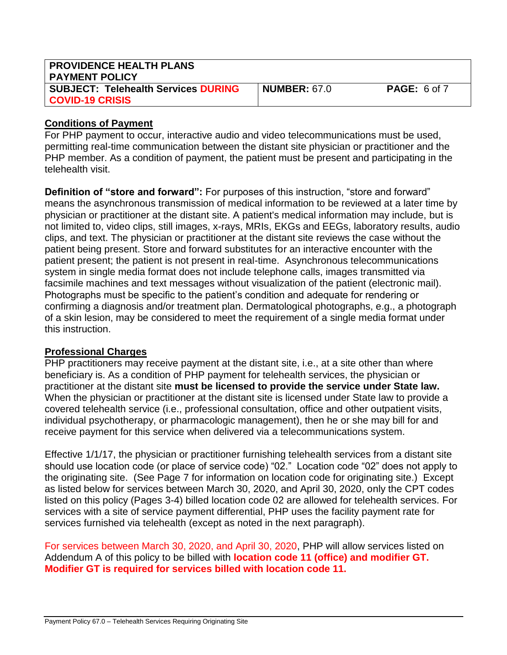| <b>PROVIDENCE HEALTH PLANS</b><br><b>PAYMENT POLICY</b>       |                     |                     |
|---------------------------------------------------------------|---------------------|---------------------|
| SUBJECT: Telehealth Services DURING<br><b>COVID-19 CRISIS</b> | <b>NUMBER: 67.0</b> | <b>PAGE: 6 of 7</b> |

## **Conditions of Payment**

For PHP payment to occur, interactive audio and video telecommunications must be used, permitting real-time communication between the distant site physician or practitioner and the PHP member. As a condition of payment, the patient must be present and participating in the telehealth visit.

**Definition of "store and forward":** For purposes of this instruction, "store and forward" means the asynchronous transmission of medical information to be reviewed at a later time by physician or practitioner at the distant site. A patient's medical information may include, but is not limited to, video clips, still images, x-rays, MRIs, EKGs and EEGs, laboratory results, audio clips, and text. The physician or practitioner at the distant site reviews the case without the patient being present. Store and forward substitutes for an interactive encounter with the patient present; the patient is not present in real-time. Asynchronous telecommunications system in single media format does not include telephone calls, images transmitted via facsimile machines and text messages without visualization of the patient (electronic mail). Photographs must be specific to the patient's condition and adequate for rendering or confirming a diagnosis and/or treatment plan. Dermatological photographs, e.g., a photograph of a skin lesion, may be considered to meet the requirement of a single media format under this instruction.

# **Professional Charges**

PHP practitioners may receive payment at the distant site, i.e., at a site other than where beneficiary is. As a condition of PHP payment for telehealth services, the physician or practitioner at the distant site **must be licensed to provide the service under State law.** When the physician or practitioner at the distant site is licensed under State law to provide a covered telehealth service (i.e., professional consultation, office and other outpatient visits, individual psychotherapy, or pharmacologic management), then he or she may bill for and receive payment for this service when delivered via a telecommunications system.

Effective 1/1/17, the physician or practitioner furnishing telehealth services from a distant site should use location code (or place of service code) "02." Location code "02" does not apply to the originating site. (See Page 7 for information on location code for originating site.) Except as listed below for services between March 30, 2020, and April 30, 2020, only the CPT codes listed on this policy (Pages 3-4) billed location code 02 are allowed for telehealth services. For services with a site of service payment differential, PHP uses the facility payment rate for services furnished via telehealth (except as noted in the next paragraph).

For services between March 30, 2020, and April 30, 2020, PHP will allow services listed on Addendum A of this policy to be billed with **location code 11 (office) and modifier GT. Modifier GT is required for services billed with location code 11.**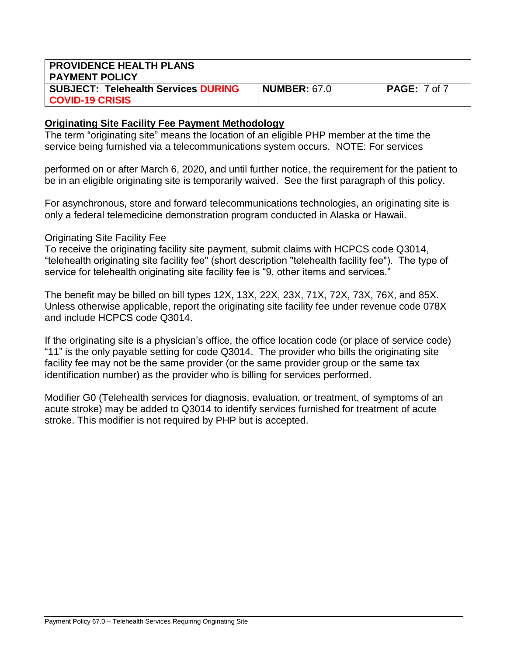| <b>PROVIDENCE HEALTH PLANS</b>             |                     |                     |
|--------------------------------------------|---------------------|---------------------|
| <b>PAYMENT POLICY</b>                      |                     |                     |
| <b>SUBJECT: Telehealth Services DURING</b> | <b>NUMBER: 67.0</b> | <b>PAGE:</b> 7 of 7 |
| <b>COVID-19 CRISIS</b>                     |                     |                     |

### **Originating Site Facility Fee Payment Methodology**

The term "originating site" means the location of an eligible PHP member at the time the service being furnished via a telecommunications system occurs. NOTE: For services

performed on or after March 6, 2020, and until further notice, the requirement for the patient to be in an eligible originating site is temporarily waived. See the first paragraph of this policy.

For asynchronous, store and forward telecommunications technologies, an originating site is only a federal telemedicine demonstration program conducted in Alaska or Hawaii.

### Originating Site Facility Fee

To receive the originating facility site payment, submit claims with HCPCS code Q3014, "telehealth originating site facility fee" (short description "telehealth facility fee"). The type of service for telehealth originating site facility fee is "9, other items and services."

The benefit may be billed on bill types 12X, 13X, 22X, 23X, 71X, 72X, 73X, 76X, and 85X. Unless otherwise applicable, report the originating site facility fee under revenue code 078X and include HCPCS code Q3014.

If the originating site is a physician's office, the office location code (or place of service code) "11" is the only payable setting for code Q3014. The provider who bills the originating site facility fee may not be the same provider (or the same provider group or the same tax identification number) as the provider who is billing for services performed.

Modifier G0 (Telehealth services for diagnosis, evaluation, or treatment, of symptoms of an acute stroke) may be added to Q3014 to identify services furnished for treatment of acute stroke. This modifier is not required by PHP but is accepted.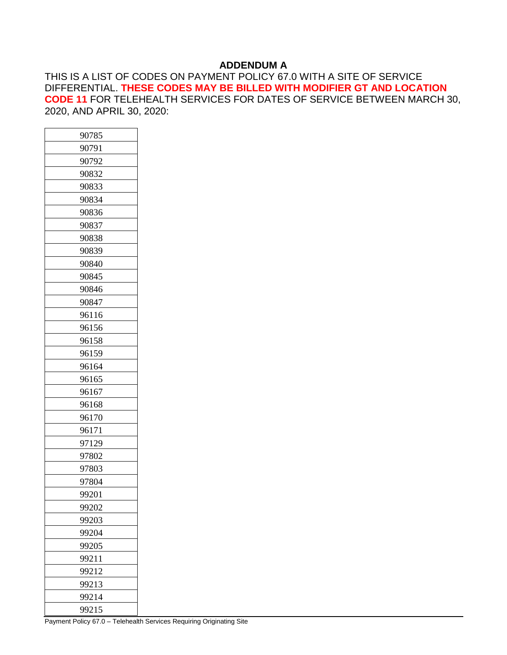### **ADDENDUM A**

THIS IS A LIST OF CODES ON PAYMENT POLICY 67.0 WITH A SITE OF SERVICE DIFFERENTIAL. **THESE CODES MAY BE BILLED WITH MODIFIER GT AND LOCATION CODE 11** FOR TELEHEALTH SERVICES FOR DATES OF SERVICE BETWEEN MARCH 30, 2020, AND APRIL 30, 2020:

| 90785 |
|-------|
| 90791 |
| 90792 |
| 90832 |
| 90833 |
| 90834 |
| 90836 |
| 90837 |
| 90838 |
| 90839 |
| 90840 |
| 90845 |
| 90846 |
| 90847 |
| 96116 |
| 96156 |
| 96158 |
| 96159 |
| 96164 |
| 96165 |
| 96167 |
| 96168 |
| 96170 |
| 96171 |
| 97129 |
| 97802 |
| 97803 |
| 97804 |
| 99201 |
| 99202 |
| 99203 |
| 99204 |
| 99205 |
| 99211 |
| 99212 |
| 99213 |
| 99214 |
| 99215 |
|       |

Payment Policy 67.0 – Telehealth Services Requiring Originating Site